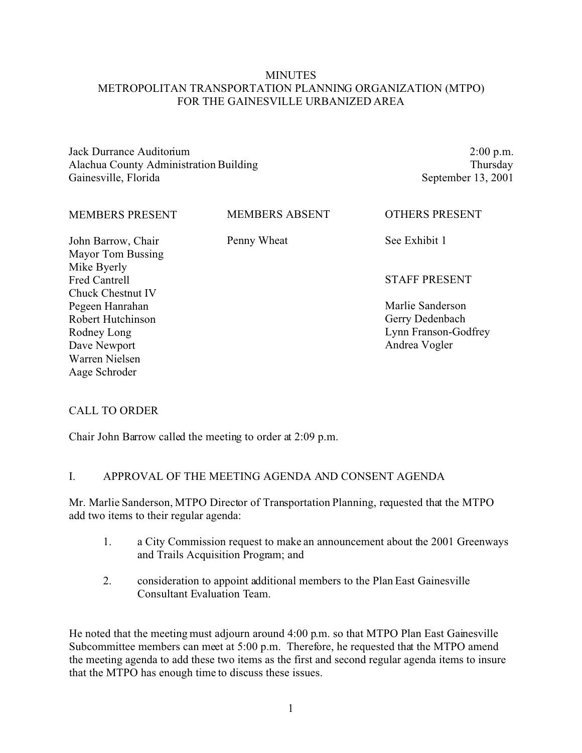## **MINUTES** METROPOLITAN TRANSPORTATION PLANNING ORGANIZATION (MTPO) FOR THE GAINESVILLE URBANIZED AREA

Jack Durrance Auditorium Alachua County Administration Building Gainesville, Florida

2:00 p.m. Thursday September 13, 2001

| <b>MEMBERS PRESENT</b>                  | <b>MEMBERS ABSENT</b> | <b>OTHERS PRESENT</b> |
|-----------------------------------------|-----------------------|-----------------------|
| John Barrow, Chair<br>Mayor Tom Bussing | Penny Wheat           | See Exhibit 1         |
| Mike Byerly                             |                       |                       |
| <b>Fred Cantrell</b>                    |                       | <b>STAFF PRESENT</b>  |
| Chuck Chestnut IV                       |                       |                       |
| Pegeen Hanrahan                         |                       | Marlie Sanderson      |
| Robert Hutchinson                       |                       | Gerry Dedenbach       |
| Rodney Long                             |                       | Lynn Franson-Godfrey  |
| Dave Newport                            |                       | Andrea Vogler         |
| Warren Nielsen                          |                       |                       |
| Aage Schroder                           |                       |                       |

## CALL TO ORDER

Chair John Barrow called the meeting to order at 2:09 p.m.

#### I. APPROVAL OF THE MEETING AGENDA AND CONSENT AGENDA

Mr. Marlie Sanderson, MTPO Director of Transportation Planning, requested that the MTPO add two items to their regular agenda:

- 1. a City Commission request to make an announcement about the 2001 Greenways and Trails Acquisition Program; and
- 2. consideration to appoint additional members to the Plan East Gainesville Consultant Evaluation Team.

He noted that the meeting must adjourn around 4:00 p.m. so that MTPO Plan East Gainesville Subcommittee members can meet at 5:00 p.m. Therefore, he requested that the MTPO amend the meeting agenda to add these two items as the first and second regular agenda items to insure that the MTPO has enough time to discuss these issues.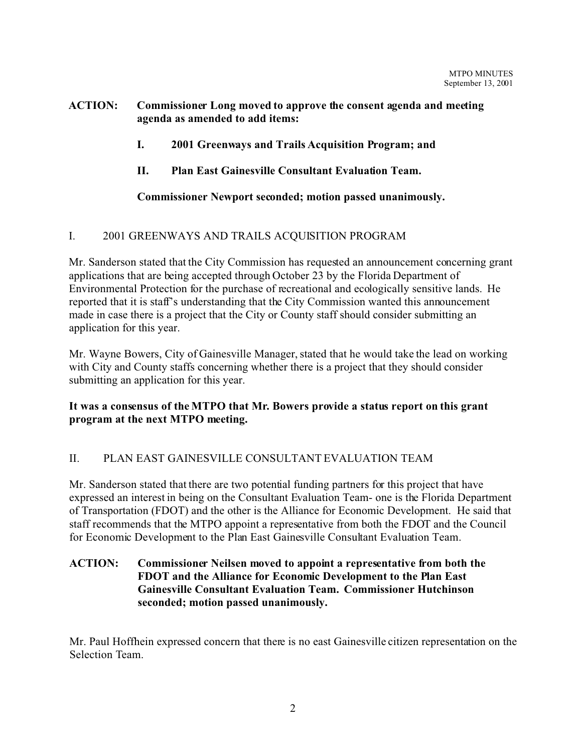## **ACTION: Commissioner Long moved to approve the consent agenda and meeting agenda as amended to add items:**

- **I. 2001 Greenways and Trails Acquisition Program; and**
- **II. Plan East Gainesville Consultant Evaluation Team.**

# **Commissioner Newport seconded; motion passed unanimously.**

# I. 2001 GREENWAYS AND TRAILS ACQUISITION PROGRAM

Mr. Sanderson stated that the City Commission has requested an announcement concerning grant applications that are being accepted through October 23 by the Florida Department of Environmental Protection for the purchase of recreational and ecologically sensitive lands. He reported that it is staff's understanding that the City Commission wanted this announcement made in case there is a project that the City or County staff should consider submitting an application for this year.

Mr. Wayne Bowers, City of Gainesville Manager, stated that he would take the lead on working with City and County staffs concerning whether there is a project that they should consider submitting an application for this year.

# **It was a consensus of the MTPO that Mr. Bowers provide a status report on this grant program at the next MTPO meeting.**

# II. PLAN EAST GAINESVILLE CONSULTANT EVALUATION TEAM

Mr. Sanderson stated that there are two potential funding partners for this project that have expressed an interest in being on the Consultant Evaluation Team- one is the Florida Department of Transportation (FDOT) and the other is the Alliance for Economic Development. He said that staff recommends that the MTPO appoint a representative from both the FDOT and the Council for Economic Development to the Plan East Gainesville Consultant Evaluation Team.

## **ACTION: Commissioner Neilsen moved to appoint a representative from both the FDOT and the Alliance for Economic Development to the Plan East Gainesville Consultant Evaluation Team. Commissioner Hutchinson seconded; motion passed unanimously.**

Mr. Paul Hoffhein expressed concern that there is no east Gainesville citizen representation on the Selection Team.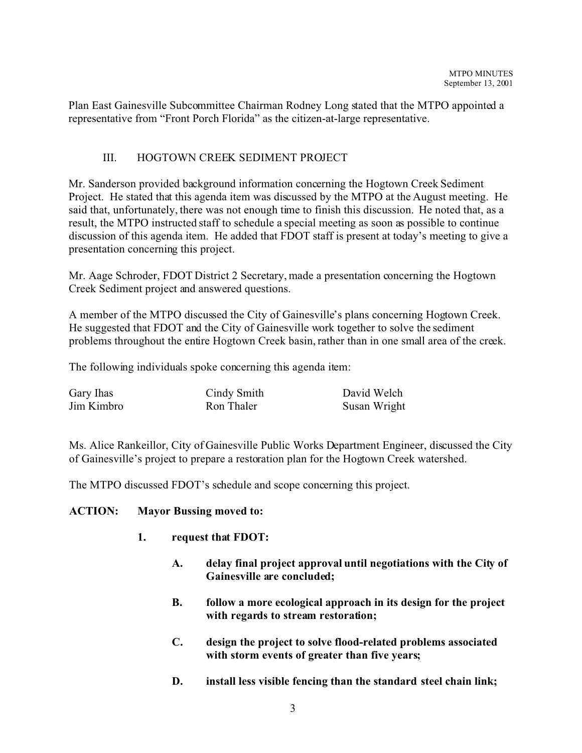Plan East Gainesville Subcommittee Chairman Rodney Long stated that the MTPO appointed a representative from "Front Porch Florida" as the citizen-at-large representative.

# III. HOGTOWN CREEK SEDIMENT PROJECT

Mr. Sanderson provided background information concerning the Hogtown Creek Sediment Project. He stated that this agenda item was discussed by the MTPO at the August meeting. He said that, unfortunately, there was not enough time to finish this discussion. He noted that, as a result, the MTPO instructed staff to schedule a special meeting as soon as possible to continue discussion of this agenda item. He added that FDOT staff is present at today's meeting to give a presentation concerning this project.

Mr. Aage Schroder, FDOT District 2 Secretary, made a presentation concerning the Hogtown Creek Sediment project and answered questions.

A member of the MTPO discussed the City of Gainesville's plans concerning Hogtown Creek. He suggested that FDOT and the City of Gainesville work together to solve the sediment problems throughout the entire Hogtown Creek basin, rather than in one small area of the creek.

The following individuals spoke concerning this agenda item:

| Gary Ihas  | Cindy Smith | David Welch  |
|------------|-------------|--------------|
| Jim Kimbro | Ron Thaler  | Susan Wright |

Ms. Alice Rankeillor, City of Gainesville Public Works Department Engineer, discussed the City of Gainesville's project to prepare a restoration plan for the Hogtown Creek watershed.

The MTPO discussed FDOT's schedule and scope concerning this project.

## **ACTION: Mayor Bussing moved to:**

- **1. request that FDOT:**
	- **A. delay final project approval until negotiations with the City of Gainesville are concluded;**
	- **B. follow a more ecological approach in its design for the project with regards to stream restoration;**
	- **C. design the project to solve flood-related problems associated with storm events of greater than five years;**
	- **D. install less visible fencing than the standard steel chain link;**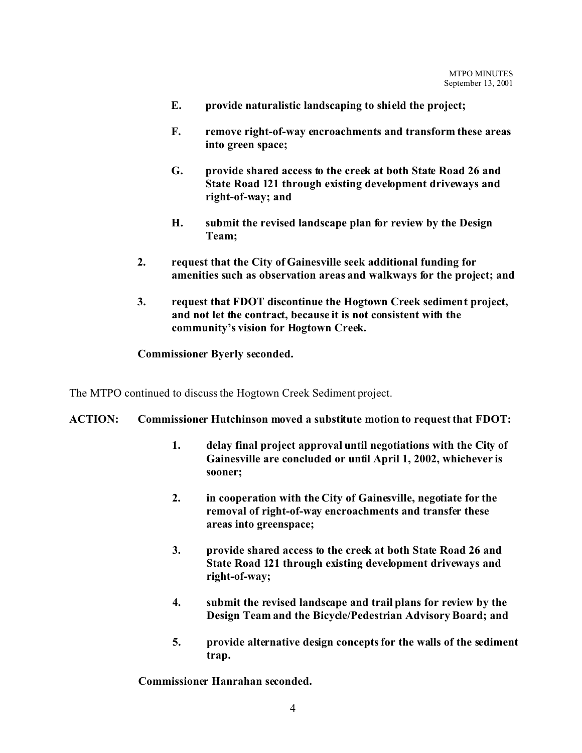- **E. provide naturalistic landscaping to shield the project;**
- **F. remove right-of-way encroachments and transform these areas into green space;**
- **G. provide shared access to the creek at both State Road 26 and State Road 121 through existing development driveways and right-of-way; and**
- **H. submit the revised landscape plan for review by the Design Team;**
- **2. request that the City of Gainesville seek additional funding for amenities such as observation areas and walkways for the project; and**
- **3. request that FDOT discontinue the Hogtown Creek sediment project, and not let the contract, because it is not consistent with the community's vision for Hogtown Creek.**

## **Commissioner Byerly seconded.**

The MTPO continued to discuss the Hogtown Creek Sediment project.

#### **ACTION: Commissioner Hutchinson moved a substitute motion to request that FDOT:**

- **1. delay final project approval until negotiations with the City of Gainesville are concluded or until April 1, 2002, whichever is sooner;**
- **2. in cooperation with the City of Gainesville, negotiate for the removal of right-of-way encroachments and transfer these areas into greenspace;**
- **3. provide shared access to the creek at both State Road 26 and State Road 121 through existing development driveways and right-of-way;**
- **4. submit the revised landscape and trail plans for review by the Design Team and the Bicycle/Pedestrian Advisory Board; and**
- **5. provide alternative design concepts for the walls of the sediment trap.**

**Commissioner Hanrahan seconded.**